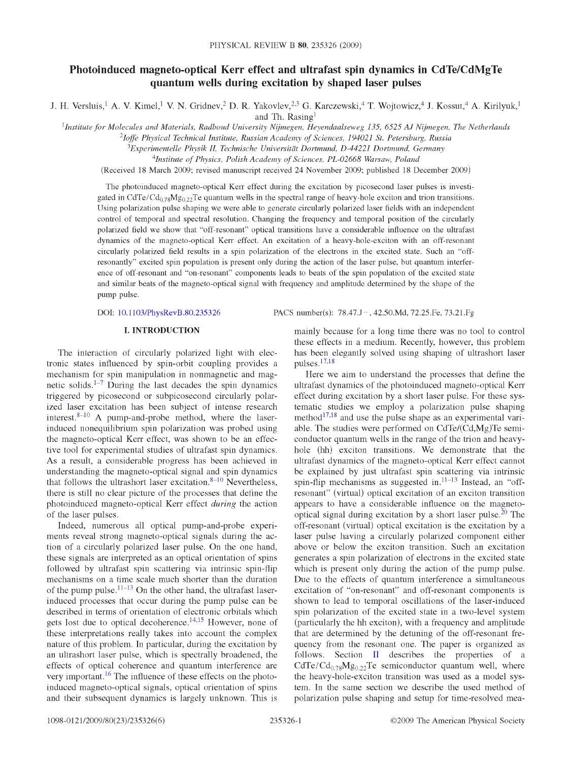# **Photoinduced magneto-optical Kerr effect and ultrafast spin dynamics in CdTe/CdMgTe quantum wells during excitation by shaped laser pulses**

J. H. Versluis**,1** A. V. Kimel**,1** V. N. Gridnev**,2** D. R. Yakovlev**,2,3** G. Karczewski**,4** T. Wojtowicz**,4** J. Kossut**,4** A. Kirilyuk**,1** and Th. Rasing**1**

<sup>1</sup>Institute for Molecules and Materials, Radboud University Nijmegen, Heyendaalseweg 135, 6525 AJ Nijmegen, The Netherlands

*2Ioffe Physical Technical Institute, Russian Academy of Sciences, 194021 St. Petersburg, Russia*

*3Experimentelle Physik II, Technische Universität Dortmund, D-44221 Dortmund, Germany*

<sup>4</sup>Institute of Physics, Polish Academy of Sciences, PL-02668 Warsaw, Poland

(Received 18 March 2009; revised manuscript received 24 November 2009; published 18 December 2009)

The photoinduced magneto-optical Kerr effect during the excitation by picosecond laser pulses is investigated in CdTe/Cd**078**Mg022Te quantum wells in the spectral range of heavy-hole exciton and trion transitions. Using polarization pulse shaping we were able to generate circularly polarized laser fields with an independent control of temporal and spectral resolution. Changing the frequency and temporal position of the circularly polarized field we show that "off-resonant" optical transitions have a considerable influence on the ultrafast dynamics of the magneto-optical Kerr effect. An excitation of a heavy-hole-exciton with an off-resonant circularly polarized field results in a spin polarization of the electrons in the excited state. Such an "offresonantly" excited spin population is present only during the action of the laser pulse, but quantum interference of off-resonant and "on-resonant" components leads to beats of the spin population of the excited state and similar beats of the magneto-optical signal with frequency and amplitude determined by the shape of the pump pulse.

DOI[: 10.1103/PhysRevB.80.235326](http://dx.doi.org/10.1103/PhysRevB.80.235326) PACS number(s): 78.47.J-, 42.50.Md, 72.25.Fe, 73.21.Fg

#### **I. INTRODUCTION**

The interaction of circularly polarized light with electronic states influenced by spin-orbit coupling provides a mechanism for spin manipulation in nonmagnetic and magnetic solids.<sup> $1-7$  $1-7$ </sup> During the last decades the spin dynamics triggered by picosecond or subpicosecond circularly polarized laser excitation has been subject of intense research interest. $8-10$  $8-10$  A pump-and-probe method, where the laserinduced nonequilibrium spin polarization was probed using the magneto-optical Kerr effect, was shown to be an effective tool for experimental studies of ultrafast spin dynamics. As a result, a considerable progress has been achieved in understanding the magneto-optical signal and spin dynamics that follows the ultrashort laser excitation.<sup>8-10</sup> Nevertheless, there is still no clear picture of the processes that define the photoinduced magneto-optical Kerr effect *during* the action of the laser pulses.

Indeed, numerous all optical pump-and-probe experiments reveal strong magneto-optical signals during the action of a circularly polarized laser pulse. On the one hand, these signals are interpreted as an optical orientation of spins followed by ultrafast spin scattering via intrinsic spin-flip mechanisms on a time scale much shorter than the duration of the pump pulse. $11-13$  $11-13$  On the other hand, the ultrafast laserinduced processes that occur during the pump pulse can be described in terms of orientation of electronic orbitals which gets lost due to optical decoherence**.[14](#page-5-6)[,15](#page-5-7)** However, none of these interpretations really takes into account the complex nature of this problem. In particular, during the excitation by an ultrashort laser pulse, which is spectrally broadened, the effects of optical coherence and quantum interference are very important**.[16](#page-5-8)** The influence of these effects on the photoinduced magneto-optical signals, optical orientation of spins and their subsequent dynamics is largely unknown. This is

mainly because for a long time there was no tool to control these effects in a medium. Recently, however, this problem has been elegantly solved using shaping of ultrashort laser pulses**[.17](#page-5-9)[,18](#page-5-10)**

Here we aim to understand the processes that define the ultrafast dynamics of the photoinduced magneto-optical Kerr effect during excitation by a short laser pulse. For these systematic studies we employ a polarization pulse shaping method<sup>[17](#page-5-9)[,18](#page-5-10)</sup> and use the pulse shape as an experimental variable. The studies were performed on CdTe/(Cd,Mg)Te semiconductor quantum wells in the range of the trion and heavyhole (hh) exciton transitions. We demonstrate that the ultrafast dynamics of the magneto-optical Kerr effect cannot be explained by just ultrafast spin scattering via intrinsic spin-flip mechanisms as suggested in.<sup>11-13</sup> Instead, an "offresonant" (virtual) optical excitation of an exciton transition appears to have a considerable influence on the magnetooptical signal during excitation by a short laser pulse**.[20](#page-5-11)** The off-resonant (virtual) optical excitation is the excitation by a laser pulse having a circularly polarized component either above or below the exciton transition. Such an excitation generates a spin polarization of electrons in the excited state which is present only during the action of the pump pulse. Due to the effects of quantum interference a simultaneous excitation of "on-resonant" and off-resonant components is shown to lead to temporal oscillations of the laser-induced spin polarization of the excited state in a two-level system (particularly the hh exciton), with a frequency and amplitude that are determined by the detuning of the off-resonant frequency from the resonant one. The paper is organized as follows. Section [II](#page-1-0) describes the properties of a CdTe/ Cd**0**.**78**Mg0.22Te semiconductor quantum well, where the heavy-hole-exciton transition was used as a model system. In the same section we describe the used method of polarization pulse shaping and setup for time-resolved mea-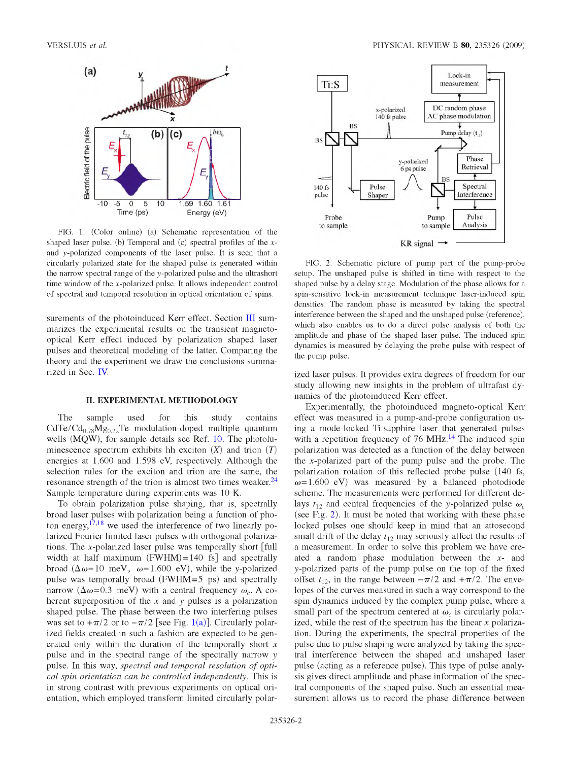<span id="page-1-1"></span>

FIG. 1. (Color online) (a) Schematic representation of the shaped laser pulse. (b) Temporal and (c) spectral profiles of the *x* and y-polarized components of the laser pulse. It is seen that a circularly polarized state for the shaped pulse is generated within the narrow spectral range of the y-polarized pulse and the ultrashort time window of the *x* -polarized pulse. It allows independent control of spectral and temporal resolution in optical orientation of spins.

<span id="page-1-0"></span>surements of the photoinduced Kerr effect. Section [III s](#page-2-0)ummarizes the experimental results on the transient magnetooptical Kerr effect induced by polarization shaped laser pulses and theoretical modeling of the latter. Comparing the theory and the experiment we draw the conclusions summarized in Sec[. IV.](#page-5-12)

# **II. EXPERIMENTAL METHODOLOGY**

The sample used for this study contains  $CdTe/Cd_{0.78}Mg_{0.22}Te$  modulation-doped multiple quantum wells (MQW), for sample details see Ref[. 10.](#page-5-3) The photoluminescence spectrum exhibits hh exciton  $(X)$  and trion  $(T)$ energies at 1.600 and 1.598 eV, respectively. Although the selection rules for the exciton and trion are the same, the resonance strength of the trion is almost two times weaker**[.24](#page-5-13)** Sample temperature during experiments was **10** K.

To obtain polarization pulse shaping, that is, spectrally broad laser pulses with polarization being a function of photon energy**,[17](#page-5-9)[,18](#page-5-10)** we used the interference of two linearly polarized Fourier limited laser pulses with orthogonal polarizations. The x-polarized laser pulse was temporally short [full width at half maximum  $(FWHM) = 140$  fs] and spectrally broad  $(\Delta \omega = 10 \text{ meV}, \omega = 1.600 \text{ eV})$ , while the y-polarized pulse was temporally broad (FWHM=5 ps) and spectrally narrow  $(\Delta \omega = 0.3 \text{ meV})$  with a central frequency  $\omega_c$ . A coherent superposition of the *x* and *y* pulses is a polarization shaped pulse. The phase between the two interfering pulses was set to  $+\pi/2$  or to  $-\pi/2$  [see Fig. [1\(a\)\]](#page-1-1). Circularly polarized fields created in such a fashion are expected to be generated only within the duration of the temporally short *x* pulse and in the spectral range of the spectrally narrow *y* pulse. In this way, *spectral and temporal resolution of optical spin orientation can be controlled independently.* This is in strong contrast with previous experiments on optical orientation, which employed transform limited circularly polar-

<span id="page-1-2"></span>

FIG. 2. Schematic picture of pump part of the pump-probe setup. The unshaped pulse is shifted in time with respect to the shaped pulse by a delay stage. Modulation of the phase allows for a spin-sensitive lock-in measurement technique laser-induced spin densities. The random phase is measured by taking the spectral interference between the shaped and the unshaped pulse (reference), which also enables us to do a direct pulse analysis of both the amplitude and phase of the shaped laser pulse. The induced spin dynamics is measured by delaying the probe pulse with respect of the pump pulse.

ized laser pulses. It provides extra degrees of freedom for our study allowing new insights in the problem of ultrafast dynamics of the photoinduced Kerr effect.

Experimentally, the photoinduced magneto-optical Kerr effect was measured in a pump-and-probe configuration using a mode-locked Ti:sapphire laser that generated pulses with a repetition frequency of 76 MHz.<sup>[14](#page-5-6)</sup> The induced spin polarization was detected as a function of the delay between the *x* -polarized part of the pump pulse and the probe. The polarization rotation of this reflected probe pulse (140 fs,  $\omega$  = 1.600 eV) was measured by a balanced photodiode scheme. The measurements were performed for different delays  $t_{12}$  and central frequencies of the y-polarized pulse  $\omega_c$ (see Fig. [2\)](#page-1-2). It must be noted that working with these phase locked pulses one should keep in mind that an attosecond small drift of the delay  $t_{12}$  may seriously affect the results of a measurement. In order to solve this problem we have created a random phase modulation between the *x*- and *y* -polarized parts of the pump pulse on the top of the fixed offset  $t_{12}$ , in the range between  $-\pi/2$  and  $+\pi/2$ . The envelopes of the curves measured in such a way correspond to the spin dynamics induced by the complex pump pulse, where a small part of the spectrum centered at  $\omega_c$  is circularly polarized, while the rest of the spectrum has the linear *x* polarization. During the experiments, the spectral properties of the pulse due to pulse shaping were analyzed by taking the spectral interference between the shaped and unshaped laser pulse (acting as a reference pulse). This type of pulse analysis gives direct amplitude and phase information of the spectral components of the shaped pulse. Such an essential measurement allows us to record the phase difference between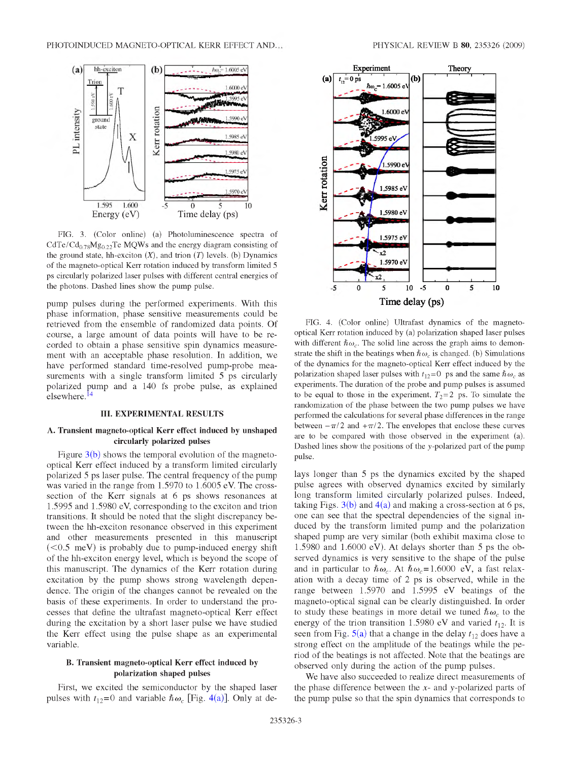<span id="page-2-1"></span>

FIG. 3. (Color online) (a) Photoluminescence spectra of CdTe/Cd $_{0.78}Mg_{0.22}$ Te MQWs and the energy diagram consisting of the ground state, hh-exciton  $(X)$ , and trion  $(T)$  levels. (b) Dynamics of the magneto-optical Kerr rotation induced by transform limited 5 ps circularly polarized laser pulses with different central energies of the photons. Dashed lines show the pump pulse.

<span id="page-2-0"></span>pump pulses during the performed experiments. With this phase information, phase sensitive measurements could be retrieved from the ensemble of randomized data points. Of course, a large amount of data points will have to be recorded to obtain a phase sensitive spin dynamics measurement with an acceptable phase resolution. In addition, we have performed standard time-resolved pump-probe measurements with a single transform limited 5 ps circularly polarized pump and a 140 fs probe pulse, as explained elsewhere**.[14](#page-5-6)**

### **III. EXPERIMENTAL RESULTS**

# **A. Transient magneto-optical Kerr effect induced by unshaped circularly polarized pulses**

Figure  $3(b)$  shows the temporal evolution of the magnetooptical Kerr effect induced by a transform limited circularly polarized 5 ps laser pulse. The central frequency of the pump was varied in the range from 1.5970 to 1.6005 eV. The crosssection of the Kerr signals at **6** ps shows resonances at 1.5995 and 1.5980 eV, corresponding to the exciton and trion transitions. It should be noted that the slight discrepancy between the hh-exciton resonance observed in this experiment and other measurements presented in this manuscript  $(< 0.5$  meV) is probably due to pump-induced energy shift of the hh-exciton energy level, which is beyond the scope of this manuscript. The dynamics of the Kerr rotation during excitation by the pump shows strong wavelength dependence. The origin of the changes cannot be revealed on the basis of these experiments. In order to understand the processes that define the ultrafast magneto-optical Kerr effect during the excitation by a short laser pulse we have studied the Kerr effect using the pulse shape as an experimental variable.

# **B. Transient magneto-optical Kerr effect induced by polarization shaped pulses**

First, we excited the semiconductor by the shaped laser pulses with  $t_{12}=0$  and variable  $\hbar \omega_c$  [Fig[. 4\(a\)\]](#page-2-1). Only at de-





FIG. 4. (Color online) Ultrafast dynamics of the magnetooptical Kerr rotation induced by (a) polarization shaped laser pulses with different  $\hbar \omega_c$ . The solid line across the graph aims to demonstrate the shift in the beatings when  $\hbar \omega_c$  is changed. (b) Simulations of the dynamics for the magneto-optical Kerr effect induced by the polarization shaped laser pulses with  $t_{12}=0$  ps and the same  $\hbar \omega_c$  as experiments. The duration of the probe and pump pulses is assumed to be equal to those in the experiment,  $T_2=2$  ps. To simulate the randomization of the phase between the two pump pulses we have performed the calculations for several phase differences in the range between  $-\pi/2$  and  $+\pi/2$ . The envelopes that enclose these curves are to be compared with those observed in the experiment (a). Dashed lines show the positions of the y-polarized part of the pump pulse.

lays longer than 5 ps the dynamics excited by the shaped pulse agrees with observed dynamics excited by similarly long transform limited circularly polarized pulses. Indeed, taking Figs.  $3(b)$  and  $4(a)$  and making a cross-section at 6 ps, one can see that the spectral dependencies of the signal induced by the transform limited pump and the polarization shaped pump are very similar (both exhibit maxima close to 1.5980 and 1.6000 eV). At delays shorter than 5 ps the observed dynamics is very sensitive to the shape of the pulse and in particular to  $\hbar \omega_c$ . At  $\hbar \omega_c = 1.6000$  eV, a fast relaxation with a decay time of **2** ps is observed, while in the range between 1.5970 and 1.5995 eV beatings of the magneto-optical signal can be clearly distinguished. In order to study these beatings in more detail we tuned  $\hbar \omega_c$  to the energy of the trion transition 1.5980 eV and varied  $t_{12}$ . It is seen from Fig.  $5(a)$  that a change in the delay  $t_{12}$  does have a strong effect on the amplitude of the beatings while the period of the beatings is not affected. Note that the beatings are observed only during the action of the pump pulses.

We have also succeeded to realize direct measurements of the phase difference between the *x*- and *y*-polarized parts of the pump pulse so that the spin dynamics that corresponds to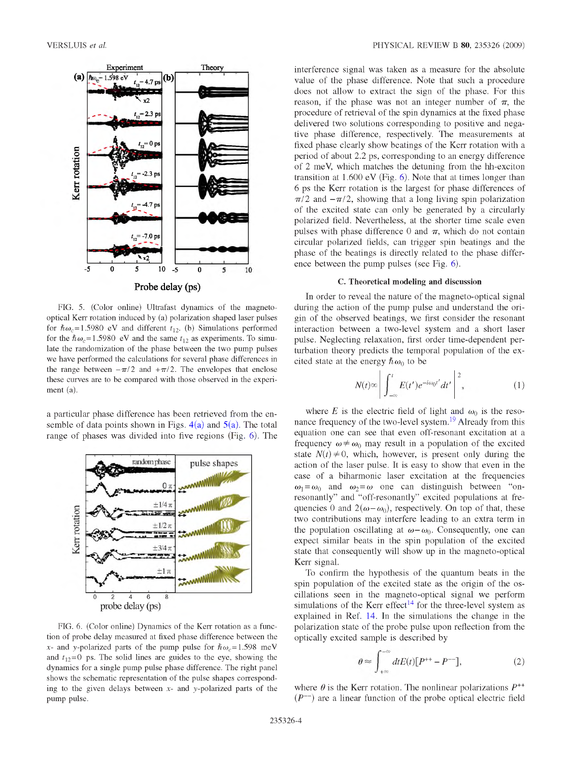<span id="page-3-0"></span>

FIG. 5. (Color online) Ultrafast dynamics of the magnetooptical Kerr rotation induced by (a) polarization shaped laser pulses for  $\hbar \omega_c = 1.5980$  eV and different  $t_{12}$ . (b) Simulations performed for the  $\hbar \omega_c = 1.5980$  eV and the same  $t_{12}$  as experiments. To simulate the randomization of the phase between the two pump pulses we have performed the calculations for several phase differences in the range between  $-\pi/2$  and  $+\pi/2$ . The envelopes that enclose these curves are to be compared with those observed in the experiment (a).

<span id="page-3-1"></span>a particular phase difference has been retrieved from the ensemble of data points shown in Figs.  $4(a)$  and  $5(a)$ . The total range of phases was divided into five regions (Fig. **6**[\)](#page-3-1). The



FIG. **6**. (Color online) Dynamics of the Kerr rotation as a function of probe delay measured at fixed phase difference between the x- and y-polarized parts of the pump pulse for  $\hbar \omega_c = 1.598$  meV and  $t_{12}=0$  ps. The solid lines are guides to the eye, showing the dynamics for a single pump pulse phase difference. The right panel shows the schematic representation of the pulse shapes corresponding to the given delays between  $x$ - and  $y$ -polarized parts of the pump pulse.

interference signal was taken as a measure for the absolute value of the phase difference. Note that such a procedure does not allow to extract the sign of the phase. For this reason, if the phase was not an integer number of  $\pi$ , the procedure of retrieval of the spin dynamics at the fixed phase delivered two solutions corresponding to positive and negative phase difference, respectively. The measurements at fixed phase clearly show beatings of the Kerr rotation with a period of about **2.2** ps, corresponding to an energy difference of 2 meV, which matches the detuning from the hh-exciton transition at 1.600 eV (Fig. **6**[\).](#page-3-1) Note that at times longer than **6** ps the Kerr rotation is the largest for phase differences of  $\pi/2$  and  $-\pi/2$ , showing that a long living spin polarization of the excited state can only be generated by a circularly polarized field. Nevertheless, at the shorter time scale even pulses with phase difference 0 and  $\pi$ , which do not contain circular polarized fields, can trigger spin beatings and the phase of the beatings is directly related to the phase difference between the pump pulses (see Fig. **[6](#page-3-1)**).

#### **C. Theoretical modeling and discussion**

In order to reveal the nature of the magneto-optical signal during the action of the pump pulse and understand the origin of the observed beatings, we first consider the resonant interaction between a two-level system and a short laser pulse. Neglecting relaxation, first order time-dependent perturbation theory predicts the temporal population of the excited state at the energy  $\hbar \omega_0$  to be

$$
N(t) \infty \left| \int_{-\infty}^{t} E(t') e^{-i\omega_0 t'} dt' \right|^2 \tag{1}
$$

where *E* is the electric field of light and  $\omega_0$  is the resonance frequency of the two-level system**.[19](#page-5-14)** Already from this equation one can see that even off-resonant excitation at a frequency  $\omega \neq \omega_0$  may result in a population of the excited state  $N(t) \neq 0$ , which, however, is present only during the action of the laser pulse. It is easy to show that even in the case of a biharmonic laser excitation at the frequencies  $\omega_1 = \omega_0$  and  $\omega_2 = \omega$  one can distinguish between "onresonantly" and "off-resonantly" excited populations at frequencies 0 and  $2(\omega - \omega_0)$ , respectively. On top of that, these two contributions may interfere leading to an extra term in the population oscillating at  $\omega - \omega_0$ . Consequently, one can expect similar beats in the spin population of the excited state that consequently will show up in the magneto-optical Kerr signal.

<span id="page-3-2"></span>To confirm the hypothesis of the quantum beats in the spin population of the excited state as the origin of the oscillations seen in the magneto-optical signal we perform simulations of the Kerr effect<sup> $14$ </sup> for the three-level system as explained in Ref[. 14.](#page-5-6) In the simulations the change in the polarization state of the probe pulse upon reflection from the optically excited sample is described by

$$
\theta \approx \int_{+\infty}^{-\infty} dt E(t) [P^{++} - P^{--}], \tag{2}
$$

where  $\theta$  is the Kerr rotation. The nonlinear polarizations  $P^{++}$  $(P<sup>-</sup>)$  are a linear function of the probe optical electric field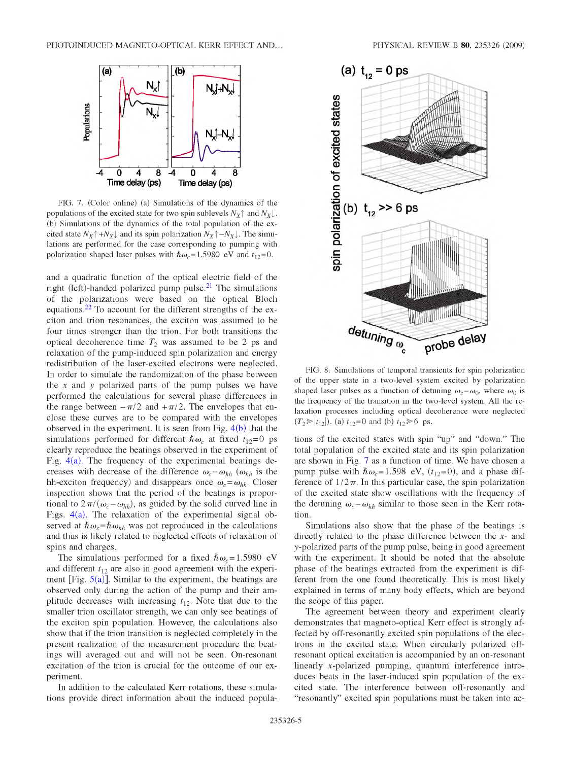<span id="page-4-0"></span>

FIG. 7. (Color online) (a) Simulations of the dynamics of the populations of the excited state for two spin sublevels  $N_{\rm X}$ <sup> $\uparrow$ </sup> and  $N_{\rm X}$  $\downarrow$ . (b) Simulations of the dynamics of the total population of the excited state  $N_X \uparrow + N_X \downarrow$  and its spin polarization  $N_X \uparrow - N_X \downarrow$ . The simulations are performed for the case corresponding to pumping with polarization shaped laser pulses with  $\hbar \omega_c = 1.5980 \text{ eV}$  and  $t_{12} = 0$ .

and a quadratic function of the optical electric field of the right (left)-handed polarized pump pulse**[.21](#page-5-15)** The simulations of the polarizations were based on the optical Bloch equations**[.22](#page-5-16)** To account for the different strengths of the exciton and trion resonances, the exciton was assumed to be four times stronger than the trion. For both transitions the optical decoherence time  $T_2$  was assumed to be 2 ps and relaxation of the pump-induced spin polarization and energy redistribution of the laser-excited electrons were neglected. In order to simulate the randomization of the phase between the x and *y* polarized parts of the pump pulses we have performed the calculations for several phase differences in the range between  $-\pi/2$  and  $+\pi/2$ . The envelopes that enclose these curves are to be compared with the envelopes observed in the experiment. It is seen from Fig.  $4(b)$  that the simulations performed for different  $\hbar \omega_c$  at fixed  $t_{12}=0$  ps clearly reproduce the beatings observed in the experiment of Fig. [4\(a\).](#page-2-1) The frequency of the experimental beatings decreases with decrease of the difference  $\omega_c - \omega_{hh}$  ( $\omega_{hh}$  is the hh-exciton frequency) and disappears once  $\omega_c = \omega_{hh}$ . Closer inspection shows that the period of the beatings is proportional to  $2\pi/(\omega_c - \omega_{hh})$ , as guided by the solid curved line in Figs.  $4(a)$ . The relaxation of the experimental signal observed at  $\hbar \omega_c = \hbar \omega_{hh}$  was not reproduced in the calculations and thus is likely related to neglected effects of relaxation of spins and charges.

The simulations performed for a fixed  $\hbar \omega_c = 1.5980 \text{ eV}$ and different  $t_{12}$  are also in good agreement with the experiment  $\text{[Fig. 5(a)]}.$  $\text{[Fig. 5(a)]}.$  $\text{[Fig. 5(a)]}.$  Similar to the experiment, the beatings are observed only during the action of the pump and their amplitude decreases with increasing  $t_{12}$ . Note that due to the smaller trion oscillator strength, we can only see beatings of the exciton spin population. However, the calculations also show that if the trion transition is neglected completely in the present realization of the measurement procedure the beatings will averaged out and will not be seen. On-resonant excitation of the trion is crucial for the outcome of our experiment.

In addition to the calculated Kerr rotations, these simulations provide direct information about the induced popula-



FIG. **8**. Simulations of temporal transients for spin polarization of the upper state in a two-level system excited by polarization shaped laser pulses as a function of detuning  $\omega_c - \omega_0$ , where  $\omega_0$  is the frequency of the transition in the two-level system. All the relaxation processes including optical decoherence were neglected  $(T_2 \ge |t_{12}|)$ . (a)  $t_{12}=0$  and (b)  $t_{12} \ge 6$  ps.

tions of the excited states with spin "up" and "down." The total population of the excited state and its spin polarization are shown in Fig. [7 a](#page-4-0)s a function of time. We have chosen a pump pulse with  $\hbar \omega_c = 1.598$  eV,  $(t_{12}=0)$ , and a phase difference of  $1/2\pi$ . In this particular case, the spin polarization of the excited state show oscillations with the frequency of the detuning  $\omega_c - \omega_{hh}$  similar to those seen in the Kerr rotation.

Simulations also show that the phase of the beatings is directly related to the phase difference between the *x*- and *y* -polarized parts of the pump pulse, being in good agreement with the experiment. It should be noted that the absolute phase of the beatings extracted from the experiment is different from the one found theoretically. This is most likely explained in terms of many body effects, which are beyond the scope of this paper.

The agreement between theory and experiment clearly demonstrates that magneto-optical Kerr effect is strongly affected by off-resonantly excited spin populations of the electrons in the excited state. When circularly polarized offresonant optical excitation is accompanied by an on-resonant linearly x-polarized pumping, quantum interference introduces beats in the laser-induced spin population of the excited state. The interference between off-resonantly and "resonantly" excited spin populations must be taken into ac